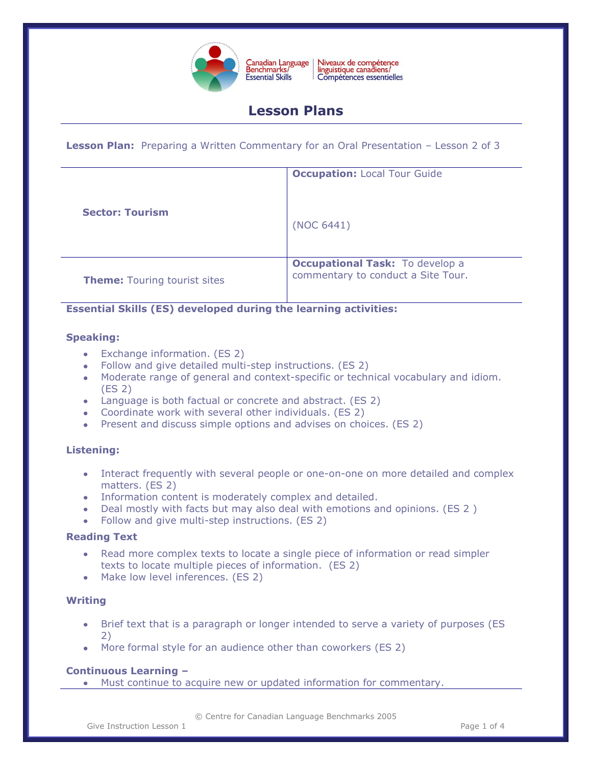

Niveaux de compétence<br>linguistique canadiens/ Compétences essentielles

# **Lesson Plans**

**Lesson Plan:** Preparing a Written Commentary for an Oral Presentation – Lesson 2 of 3

| <b>Sector: Tourism</b>              | <b>Occupation: Local Tour Guide</b><br>(NOC 6441)                            |
|-------------------------------------|------------------------------------------------------------------------------|
| <b>Theme: Touring tourist sites</b> | <b>Occupational Task:</b> To develop a<br>commentary to conduct a Site Tour. |

# **Essential Skills (ES) developed during the learning activities:**

### **Speaking:**

- Exchange information. (ES 2)
- Follow and give detailed multi-step instructions. (ES 2)
- Moderate range of general and context-specific or technical vocabulary and idiom. (ES 2)
- Language is both factual or concrete and abstract. (ES 2)
- Coordinate work with several other individuals. (ES 2)
- Present and discuss simple options and advises on choices. (ES 2)

# **Listening:**

- Interact frequently with several people or one-on-one on more detailed and complex matters. (ES 2)
- Information content is moderately complex and detailed.
- Deal mostly with facts but may also deal with emotions and opinions. (ES 2 )
- Follow and give multi-step instructions. (ES 2)

# **Reading Text**

- Read more complex texts to locate a single piece of information or read simpler texts to locate multiple pieces of information. (ES 2)
- Make low level inferences. (ES 2)

# **Writing**

- Brief text that is a paragraph or longer intended to serve a variety of purposes (ES 2)
- More formal style for an audience other than coworkers (ES 2)

# **Continuous Learning –**

Must continue to acquire new or updated information for commentary.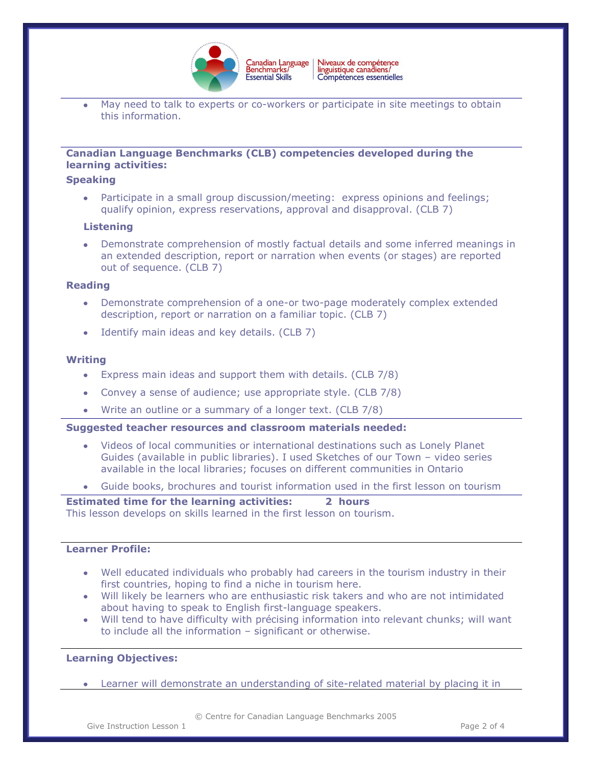

May need to talk to experts or co-workers or participate in site meetings to obtain this information.

# **Canadian Language Benchmarks (CLB) competencies developed during the learning activities:**

#### **Speaking**

Participate in a small group discussion/meeting: express opinions and feelings; qualify opinion, express reservations, approval and disapproval. (CLB 7)

### **Listening**

Demonstrate comprehension of mostly factual details and some inferred meanings in an extended description, report or narration when events (or stages) are reported out of sequence. (CLB 7)

#### **Reading**

- Demonstrate comprehension of a one-or two-page moderately complex extended description, report or narration on a familiar topic. (CLB 7)
- Identify main ideas and key details. (CLB 7)

### **Writing**

- Express main ideas and support them with details. (CLB 7/8)
- Convey a sense of audience; use appropriate style. (CLB 7/8)
- Write an outline or a summary of a longer text. (CLB 7/8)

#### **Suggested teacher resources and classroom materials needed:**

- Videos of local communities or international destinations such as Lonely Planet Guides (available in public libraries). I used Sketches of our Town – video series available in the local libraries; focuses on different communities in Ontario
- Guide books, brochures and tourist information used in the first lesson on tourism

### **Estimated time for the learning activities: 2 hours** This lesson develops on skills learned in the first lesson on tourism.

## **Learner Profile:**

- Well educated individuals who probably had careers in the tourism industry in their first countries, hoping to find a niche in tourism here.
- Will likely be learners who are enthusiastic risk takers and who are not intimidated about having to speak to English first-language speakers.
- Will tend to have difficulty with précising information into relevant chunks; will want to include all the information – significant or otherwise.

# **Learning Objectives:**

Learner will demonstrate an understanding of site-related material by placing it in

© Centre for Canadian Language Benchmarks 2005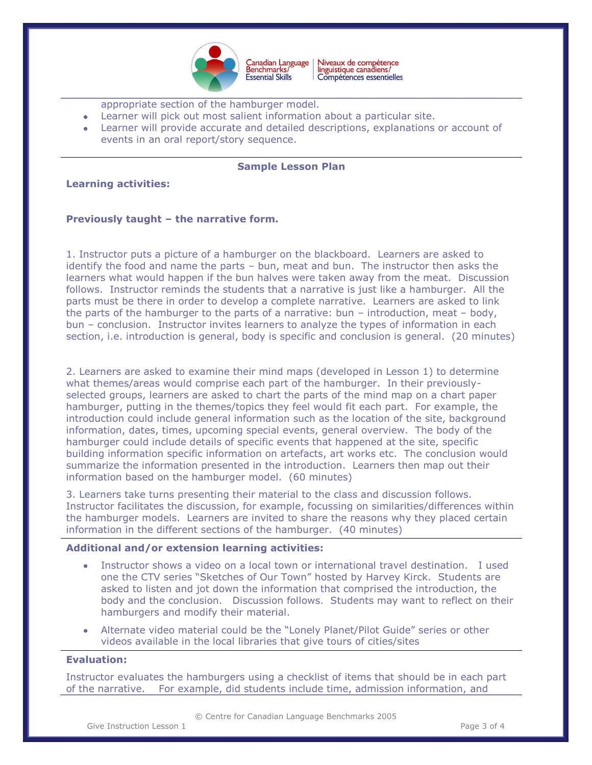

Niveaux de compétence<br>linguistique canadiens/ Canadian Language<br>Benchmarks/ Compétences essentielles

appropriate section of the hamburger model.

- Learner will pick out most salient information about a particular site.
- Learner will provide accurate and detailed descriptions, explanations or account of events in an oral report/story sequence.

## **Sample Lesson Plan**

### **Learning activities:**

### **Previously taught – the narrative form.**

1. Instructor puts a picture of a hamburger on the blackboard. Learners are asked to identify the food and name the parts – bun, meat and bun. The instructor then asks the learners what would happen if the bun halves were taken away from the meat. Discussion follows. Instructor reminds the students that a narrative is just like a hamburger. All the parts must be there in order to develop a complete narrative. Learners are asked to link the parts of the hamburger to the parts of a narrative: bun – introduction, meat – body, bun – conclusion. Instructor invites learners to analyze the types of information in each section, i.e. introduction is general, body is specific and conclusion is general. (20 minutes)

2. Learners are asked to examine their mind maps (developed in Lesson 1) to determine what themes/areas would comprise each part of the hamburger. In their previouslyselected groups, learners are asked to chart the parts of the mind map on a chart paper hamburger, putting in the themes/topics they feel would fit each part. For example, the introduction could include general information such as the location of the site, background information, dates, times, upcoming special events, general overview. The body of the hamburger could include details of specific events that happened at the site, specific building information specific information on artefacts, art works etc. The conclusion would summarize the information presented in the introduction. Learners then map out their information based on the hamburger model. (60 minutes)

3. Learners take turns presenting their material to the class and discussion follows. Instructor facilitates the discussion, for example, focussing on similarities/differences within the hamburger models. Learners are invited to share the reasons why they placed certain information in the different sections of the hamburger. (40 minutes)

#### **Additional and/or extension learning activities:**

- Instructor shows a video on a local town or international travel destination. I used one the CTV series "Sketches of Our Town" hosted by Harvey Kirck. Students are asked to listen and jot down the information that comprised the introduction, the body and the conclusion. Discussion follows. Students may want to reflect on their hamburgers and modify their material.
- Alternate video material could be the "Lonely Planet/Pilot Guide" series or other videos available in the local libraries that give tours of cities/sites

## **Evaluation:**

Instructor evaluates the hamburgers using a checklist of items that should be in each part of the narrative. For example, did students include time, admission information, and

© Centre for Canadian Language Benchmarks 2005